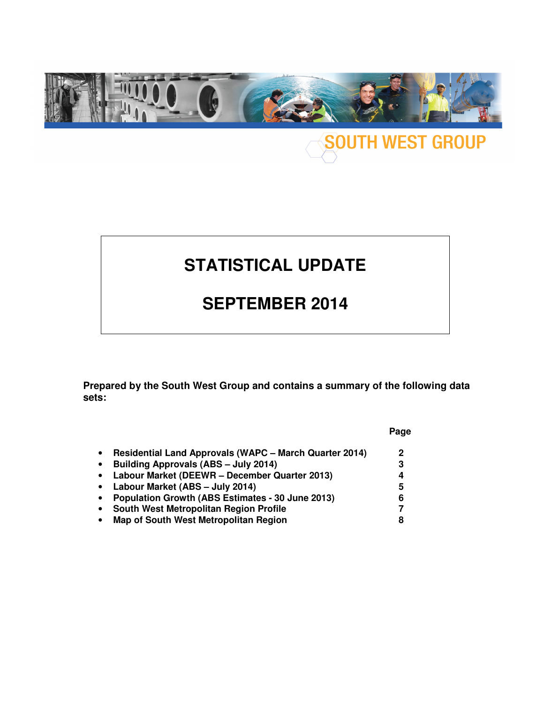

## **SOUTH WEST GROUP**

## **STATISTICAL UPDATE**

### **SEPTEMBER 2014**

**Prepared by the South West Group and contains a summary of the following data sets:** 

|                                                                            | Page |
|----------------------------------------------------------------------------|------|
| <b>Residential Land Approvals (WAPC - March Quarter 2014)</b><br>$\bullet$ | 2    |
| Building Approvals (ABS - July 2014)<br>$\bullet$                          | 3    |
| Labour Market (DEEWR - December Quarter 2013)<br>$\bullet$                 | 4    |
| Labour Market (ABS - July 2014)<br>$\bullet$                               | 5    |
| Population Growth (ABS Estimates - 30 June 2013)<br>$\bullet$              | 6    |
| <b>South West Metropolitan Region Profile</b><br>$\bullet$                 | 7    |
| <b>Map of South West Metropolitan Region</b><br>٠                          | 8    |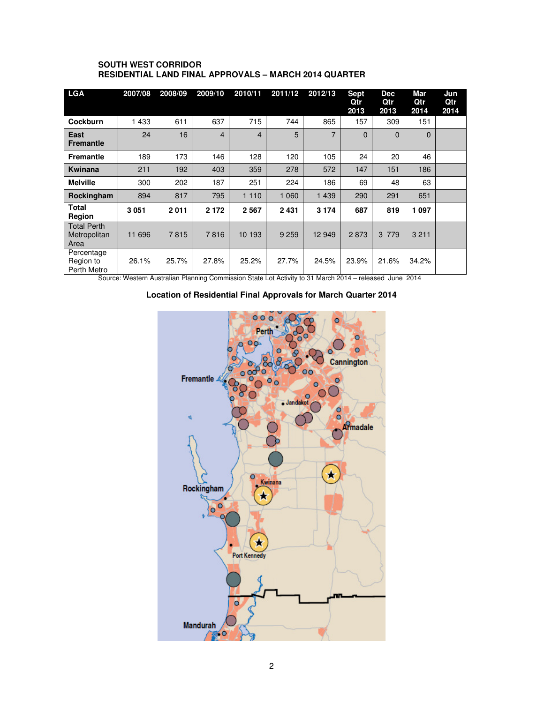#### **SOUTH WEST CORRIDOR RESIDENTIAL LAND FINAL APPROVALS – MARCH 2014 QUARTER**

| <b>LGA</b>                                 | 2007/08 | 2008/09 | 2009/10        | 2010/11 | 2011/12 | 2012/13        | <b>Sept</b><br>Qtr<br>2013 | <b>Dec</b><br>Qtr<br>2013 | Mar<br>Qtr<br>2014 | Jun<br>Qtr<br>2014 |
|--------------------------------------------|---------|---------|----------------|---------|---------|----------------|----------------------------|---------------------------|--------------------|--------------------|
| Cockburn                                   | 1433    | 611     | 637            | 715     | 744     | 865            | 157                        | 309                       | 151                |                    |
| East<br><b>Fremantle</b>                   | 24      | 16      | $\overline{4}$ | 4       | 5       | $\overline{7}$ | $\Omega$                   | $\Omega$                  | $\Omega$           |                    |
| <b>Fremantle</b>                           | 189     | 173     | 146            | 128     | 120     | 105            | 24                         | 20                        | 46                 |                    |
| Kwinana                                    | 211     | 192     | 403            | 359     | 278     | 572            | 147                        | 151                       | 186                |                    |
| <b>Melville</b>                            | 300     | 202     | 187            | 251     | 224     | 186            | 69                         | 48                        | 63                 |                    |
| Rockingham                                 | 894     | 817     | 795            | 1 1 1 0 | 1 0 6 0 | 1 4 3 9        | 290                        | 291                       | 651                |                    |
| Total<br>Region                            | 3051    | 2011    | 2 1 7 2        | 2 5 6 7 | 2 4 3 1 | 3 1 7 4        | 687                        | 819                       | 1 0 9 7            |                    |
| <b>Total Perth</b><br>Metropolitan<br>Area | 11 696  | 7815    | 7816           | 10 193  | 9 2 5 9 | 12 949         | 2873                       | 3 7 7 9                   | 3 2 1 1            |                    |
| Percentage<br>Region to<br>Perth Metro     | 26.1%   | 25.7%   | 27.8%          | 25.2%   | 27.7%   | 24.5%          | 23.9%                      | 21.6%                     | 34.2%              |                    |

Source: Western Australian Planning Commission State Lot Activity to 31 March 2014 – released June 2014

#### **Location of Residential Final Approvals for March Quarter 2014**

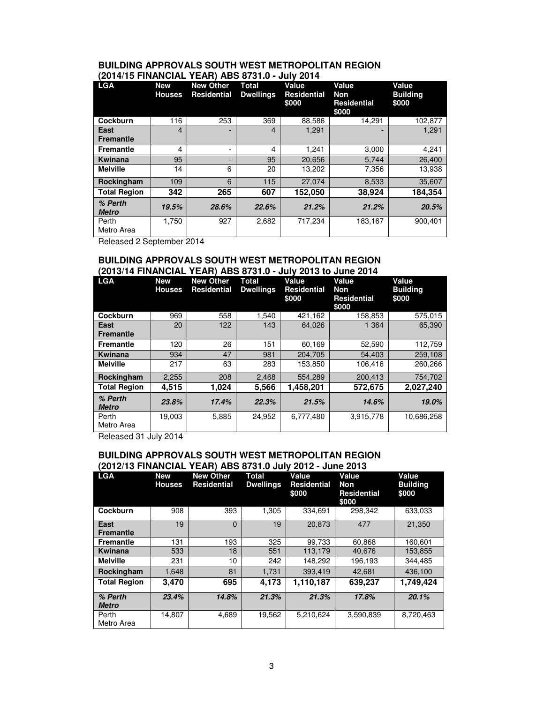#### **BUILDING APPROVALS SOUTH WEST METROPOLITAN REGION (2014/15 FINANCIAL YEAR) ABS 8731.0 - July 2014**

| <b>LGA</b>               | <b>New</b><br><b>Houses</b> | <b>New Other</b><br><b>Residential</b> | <b>Total</b><br><b>Dwellings</b> | Value<br><b>Residential</b><br>\$000 | Value<br><b>Non</b><br><b>Residential</b><br>\$000 | Value<br><b>Building</b><br>\$000 |
|--------------------------|-----------------------------|----------------------------------------|----------------------------------|--------------------------------------|----------------------------------------------------|-----------------------------------|
| Cockburn                 | 116                         | 253                                    | 369                              | 88.586                               | 14.291                                             | 102,877                           |
| East<br><b>Fremantle</b> | 4                           |                                        | $\overline{4}$                   | 1,291                                |                                                    | 1,291                             |
| <b>Fremantle</b>         | 4                           |                                        | 4                                | 1.241                                | 3,000                                              | 4,241                             |
| Kwinana                  | 95                          |                                        | 95                               | 20.656                               | 5.744                                              | 26.400                            |
| <b>Melville</b>          | 14                          | 6                                      | 20                               | 13,202                               | 7,356                                              | 13,938                            |
| Rockingham               | 109                         | 6                                      | 115                              | 27.074                               | 8,533                                              | 35,607                            |
| <b>Total Region</b>      | 342                         | 265                                    | 607                              | 152,050                              | 38,924                                             | 184,354                           |
| % Perth<br><b>Metro</b>  | 19.5%                       | 28.6%                                  | 22.6%                            | 21.2%                                | 21.2%                                              | 20.5%                             |
| Perth<br>Metro Area      | 1,750                       | 927                                    | 2,682                            | 717,234                              | 183,167                                            | 900,401                           |

Released 2 September 2014

#### **BUILDING APPROVALS SOUTH WEST METROPOLITAN REGION (2013/14 FINANCIAL YEAR) ABS 8731.0 - July 2013 to June 2014**

| <b>LGA</b>               | <b>New</b><br><b>Houses</b> | <b>New Other</b><br><b>Residential</b> | <b>Total</b><br><b>Dwellings</b> | Value<br><b>Residential</b><br>\$000 | Value<br>Non<br><b>Residential</b><br>\$000 | Value<br><b>Building</b><br>\$000 |
|--------------------------|-----------------------------|----------------------------------------|----------------------------------|--------------------------------------|---------------------------------------------|-----------------------------------|
| Cockburn                 | 969                         | 558                                    | 1,540                            | 421,162                              | 158,853                                     | 575,015                           |
| East<br><b>Fremantle</b> | 20                          | 122                                    | 143                              | 64,026                               | 1 3 6 4                                     | 65,390                            |
| <b>Fremantle</b>         | 120                         | 26                                     | 151                              | 60.169                               | 52,590                                      | 112,759                           |
| Kwinana                  | 934                         | 47                                     | 981                              | 204.705                              | 54.403                                      | 259.108                           |
| <b>Melville</b>          | 217                         | 63                                     | 283                              | 153,850                              | 106,416                                     | 260,266                           |
| Rockingham               | 2,255                       | 208                                    | 2,468                            | 554,289                              | 200,413                                     | 754.702                           |
| <b>Total Region</b>      | 4,515                       | 1,024                                  | 5.566                            | 1,458,201                            | 572,675                                     | 2,027,240                         |
| % Perth<br><b>Metro</b>  | 23.8%                       | 17.4%                                  | 22.3%                            | 21.5%                                | 14.6%                                       | 19.0%                             |
| Perth<br>Metro Area      | 19,003                      | 5.885                                  | 24,952                           | 6,777,480                            | 3,915,778                                   | 10,686,258                        |

Released 31 July 2014

#### **BUILDING APPROVALS SOUTH WEST METROPOLITAN REGION (2012/13 FINANCIAL YEAR) ABS 8731.0 July 2012 - June 2013**

| <b>LGA</b>              | <b>New</b><br><b>Houses</b> | <b>New Other</b><br><b>Residential</b> | Total<br><b>Dwellings</b> | Value<br><b>Residential</b><br>\$000 | Value<br>Non<br><b>Residential</b><br>\$000 | Value<br><b>Building</b><br>\$000 |
|-------------------------|-----------------------------|----------------------------------------|---------------------------|--------------------------------------|---------------------------------------------|-----------------------------------|
| Cockburn                | 908                         | 393                                    | 1,305                     | 334.691                              | 298.342                                     | 633,033                           |
| East<br>Fremantle       | 19                          | $\Omega$                               | 19                        | 20.873                               | 477                                         | 21.350                            |
| <b>Fremantle</b>        | 131                         | 193                                    | 325                       | 99,733                               | 60,868                                      | 160,601                           |
| Kwinana                 | 533                         | 18                                     | 551                       | 113.179                              | 40,676                                      | 153,855                           |
| <b>Melville</b>         | 231                         | 10                                     | 242                       | 148,292                              | 196,193                                     | 344,485                           |
| Rockingham              | 1,648                       | 81                                     | 1,731                     | 393,419                              | 42.681                                      | 436,100                           |
| <b>Total Region</b>     | 3.470                       | 695                                    | 4.173                     | 1,110,187                            | 639,237                                     | 1,749,424                         |
| % Perth<br><b>Metro</b> | 23.4%                       | 14.8%                                  | 21.3%                     | 21.3%                                | 17.8%                                       | 20.1%                             |
| Perth<br>Metro Area     | 14.807                      | 4,689                                  | 19,562                    | 5,210,624                            | 3,590,839                                   | 8,720,463                         |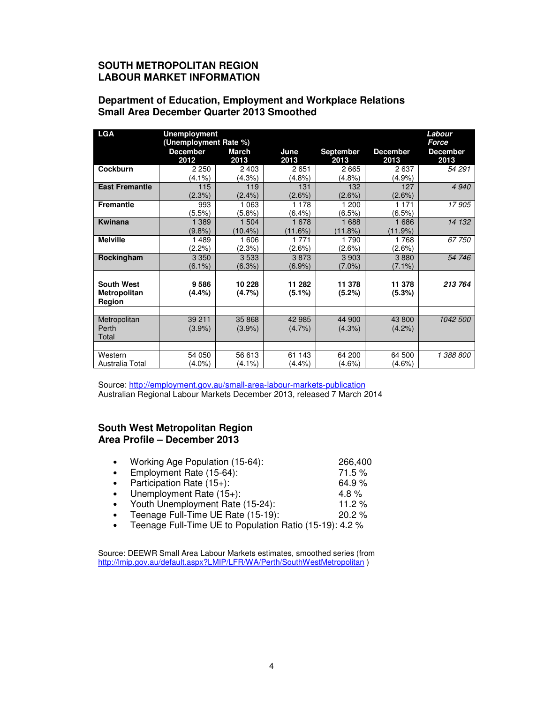#### **SOUTH METROPOLITAN REGION LABOUR MARKET INFORMATION**

#### **Department of Education, Employment and Workplace Relations Small Area December Quarter 2013 Smoothed**

| <b>LGA</b>                                  | <b>Unemployment</b><br>(Unemployment Rate %) | Labour<br>Force      |                     |                          |                         |                         |
|---------------------------------------------|----------------------------------------------|----------------------|---------------------|--------------------------|-------------------------|-------------------------|
|                                             | <b>December</b><br>2012                      | <b>March</b><br>2013 | June<br>2013        | <b>September</b><br>2013 | <b>December</b><br>2013 | <b>December</b><br>2013 |
| Cockburn                                    | 2 2 5 0<br>$(4.1\%)$                         | 2 4 0 3<br>(4.3%)    | 2651<br>$(4.8\%)$   | 2665<br>(4.8%)           | 2637<br>$(4.9\%)$       | 54 291                  |
| <b>East Fremantle</b>                       | 115<br>(2.3%)                                | 119<br>$(2.4\%)$     | 131<br>(2.6%)       | 132<br>(2.6%)            | 127<br>(2.6%)           | 4 9 4 0                 |
| <b>Fremantle</b>                            | 993<br>(5.5%)                                | 1 0 6 3<br>(5.8%)    | 1 1 7 8<br>(6.4% )  | 1 200<br>(6.5%)          | 1 1 7 1<br>(6.5%)       | 17905                   |
| <b>Kwinana</b>                              | 1 3 8 9<br>(9.8%                             | 1 504<br>$(10.4\%)$  | 1678<br>(11.6%)     | 1688<br>(11.8%)          | 1686<br>(11.9%)         | 14 132                  |
| <b>Melville</b>                             | 1489<br>(2.2%)                               | 1606<br>$(2.3\%)$    | 1 7 7 1<br>(2.6%)   | 1790<br>$(2.6\%)$        | 1768<br>$(2.6\%)$       | 67750                   |
| Rockingham                                  | 3 3 5 0<br>$(6.1\%)$                         | 3533<br>(6.3%)       | 3873<br>(6.9%       | 3 9 0 3<br>$(7.0\%)$     | 3880<br>(7.1%)          | 54 746                  |
|                                             |                                              |                      |                     |                          |                         |                         |
| <b>South West</b><br>Metropolitan<br>Region | 9586<br>$(4.4\%)$                            | 10 228<br>(4.7%)     | 11 282<br>(5.1%)    | 11 378<br>(5.2%)         | 11 378<br>(5.3%)        | 213 764                 |
|                                             |                                              |                      |                     |                          |                         |                         |
| Metropolitan<br>Perth<br>Total              | 39 211<br>$(3.9\%)$                          | 35 868<br>$(3.9\%)$  | 42 985<br>$(4.7\%)$ | 44 900<br>$(4.3\%)$      | 43 800<br>$(4.2\%)$     | 1042 500                |
|                                             |                                              |                      |                     |                          |                         |                         |
| Western<br>Australia Total                  | 54 050<br>$(4.0\%)$                          | 56 613<br>$(4.1\%)$  | 61 143<br>$(4.4\%)$ | 64 200<br>$(4.6\%)$      | 64 500<br>$(4.6\%)$     | 1 388 800               |

Source: http://employment.gov.au/small-area-labour-markets-publication Australian Regional Labour Markets December 2013, released 7 March 2014

#### **South West Metropolitan Region Area Profile – December 2013**

| $\bullet$ | Working Age Population (15-64): | 266,400   |
|-----------|---------------------------------|-----------|
|           | • Employment Rate $(15-64)$ :   | $71.5 \%$ |
|           | • Participation Rate $(15+)$ :  | 64.9%     |
| $\bullet$ | Unemployment Rate $(15+)$ :     | 4.8 $%$   |

- Youth Unemployment Rate (15-24): 11.2 %
- Teenage Full-Time UE Rate (15-19): 20.2 %
- Teenage Full-Time UE to Population Ratio (15-19): 4.2 %

Source: DEEWR Small Area Labour Markets estimates, smoothed series (from http://lmip.gov.au/default.aspx?LMIP/LFR/WA/Perth/SouthWestMetropolitan ) ٦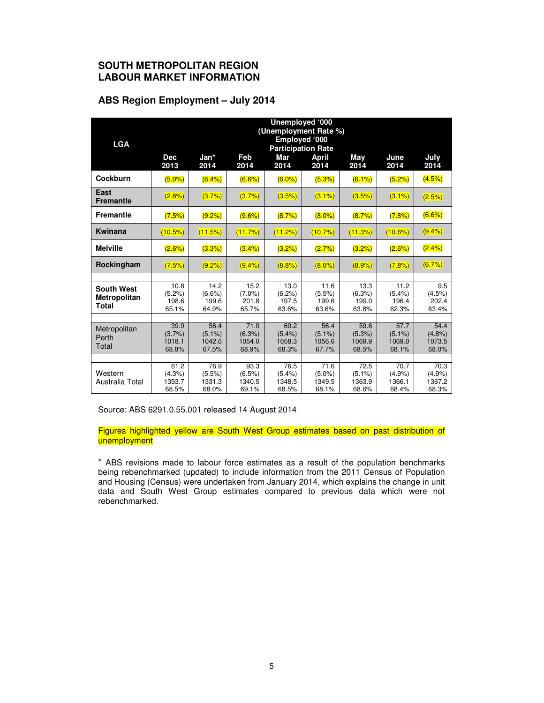#### **SOUTH METROPOLITAN REGION LABOUR MARKET INFORMATION**

#### **ABS Region Employment – July 2014**

|                          |                                            |                    |                    | Unemployed '000    | (Unemployment Rate %) |                 |                    |                 |
|--------------------------|--------------------------------------------|--------------------|--------------------|--------------------|-----------------------|-----------------|--------------------|-----------------|
| <b>LGA</b>               | Employed '000<br><b>Participation Rate</b> |                    |                    |                    |                       |                 |                    |                 |
|                          | <b>Dec</b>                                 | Jan*               | Feb                | Mar                | <b>April</b>          | May             | June               | July            |
|                          | 2013                                       | 2014               | 2014               | 2014               | 2014                  | 2014            | 2014               | 2014            |
| <b>Cockburn</b>          | (5.0%                                      | (6.4%)             | $(6.6\%)$          | $(6.0\%)$          | (5.3%)                | (6.1%)          | (5.2%)             | (4.5%)          |
| East<br><b>Fremantle</b> | (2.8%)                                     | (3.7%)             | (3.7%)             | (3.5%)             | $(3.1\%)$             | (3.5%)          | $(3.1\%)$          | (2.5%)          |
| <b>Fremantle</b>         | (7.5%)                                     | (9.2%)             | $(9.6\%)$          | (8.7%)             | $(8.0\%)$             | (8.7%)          | (7.8%)             | $(6.6\%)$       |
| <b>Kwinana</b>           | (10.5%)                                    | (11.5%)            | (11.7%)            | (11.2%)            | (10.7%)               | (11.3%)         | (10.6%)            | (9.4% )         |
| <b>Melville</b>          | (2.6%)                                     | (3.3%)             | $(3.4\%)$          | (3.2%)             | (2.7%)                | (3.2%)          | (2.6%)             | $(2.4\%)$       |
| Rockingham               | (7.5%)                                     | (9.2%)             | (9.4% )            | (8.8%)             | $(8.0\%)$             | (8.9%)          | (7.8%)             | (6.7%)          |
|                          |                                            |                    |                    |                    |                       |                 |                    |                 |
| <b>South West</b>        | 10.8                                       | 14.2               | 15.2               | 13.0               | 11.6                  | 13.3            | 11.2               | 9.5             |
| <b>Metropolitan</b>      | (5.2%)<br>198.6                            | $(6.6\%)$<br>199.6 | $(7.0\%)$<br>201.8 | $(6.2\%)$<br>197.5 | $(5.5\%)$<br>199.6    | (6.3%)<br>199.0 | $(5.4\%)$<br>196.4 | (4.5%)<br>202.4 |
| Total                    | 65.1%                                      | 64.9%              | 65.7%              | 63.6%              | 63.6%                 | 63.8%           | 62.3%              | 63.4%           |
|                          |                                            |                    |                    |                    |                       |                 |                    |                 |
| Metropolitan             | 39.0                                       | 56.4               | 71.0               | 60.2               | 56.4                  | 59.6            | 57.7               | 54.4            |
| Perth                    | (3.7%)                                     | $(5.1\%)$          | $(6.3\%)$          | $(5.4\%)$          | $(5.1\%)$             | (5.3%)          | $(5.1\%)$          | (4.8%)          |
| Total                    | 1018.1<br>68.8%                            | 1042.6<br>67.5%    | 1054.0<br>68.9%    | 1058.3<br>68.3%    | 1056.6<br>67.7%       | 1069.9<br>68.5% | 1069.0<br>68.1%    | 1073.5<br>68.0% |
|                          |                                            |                    |                    |                    |                       |                 |                    |                 |
|                          | 61.2                                       | 76.9               | 93.3               | 76.5               | 71.6                  | 72.5            | 70.7               | 70.3            |
| Western                  | $(4.3\%)$                                  | $(5.5\%)$          | $(6.5\%)$          | $(5.4\%)$          | $(5.0\%)$             | $(5.1\%)$       | (4.9%              | (4.9%           |
| Australia Total          | 1353.7                                     | 1331.3             | 1340.5             | 1348.5             | 1349.5                | 1363.9          | 1366.1             | 1367.2          |
|                          | 68.5%                                      | 68.0%              | 69.1%              | 68.5%              | 68.1%                 | 68.6%           | 68.4%              | 68.3%           |

Source: ABS 6291.0.55.001 released 14 August 2014

Figures highlighted yellow are South West Group estimates based on past distribution of unemployment

\* ABS revisions made to labour force estimates as a result of the population benchmarks being rebenchmarked (updated) to include information from the 2011 Census of Population and Housing (Census) were undertaken from January 2014, which explains the change in unit data and South West Group estimates compared to previous data which were not rebenchmarked.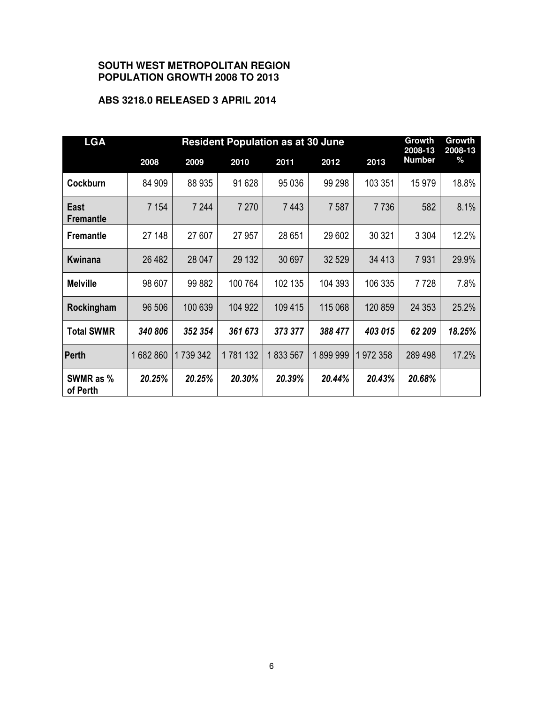#### **SOUTH WEST METROPOLITAN REGION POPULATION GROWTH 2008 TO 2013**

#### **ABS 3218.0 RELEASED 3 APRIL 2014**

| <b>LGA</b>               | <b>Resident Population as at 30 June</b> |         |         |         |         |         | Growth<br>2008-13 | Growth<br>2008-13 |
|--------------------------|------------------------------------------|---------|---------|---------|---------|---------|-------------------|-------------------|
|                          | 2008                                     | 2009    | 2010    | 2011    | 2012    | 2013    | <b>Number</b>     | $\%$              |
| Cockburn                 | 84 909                                   | 88 935  | 91 628  | 95 036  | 99 298  | 103 351 | 15979             | 18.8%             |
| East<br><b>Fremantle</b> | 7 1 5 4                                  | 7 2 4 4 | 7 2 7 0 | 7 4 4 3 | 7 5 8 7 | 7736    | 582               | 8.1%              |
| <b>Fremantle</b>         | 27 148                                   | 27 607  | 27 957  | 28 651  | 29 602  | 30 321  | 3 3 0 4           | 12.2%             |
| <b>Kwinana</b>           | 26 482                                   | 28 047  | 29 132  | 30 697  | 32 5 29 | 34 413  | 7931              | 29.9%             |
| <b>Melville</b>          | 98 607                                   | 99 882  | 100 764 | 102 135 | 104 393 | 106 335 | 7728              | 7.8%              |
| Rockingham               | 96 506                                   | 100 639 | 104 922 | 109 415 | 115 068 | 120 859 | 24 3 53           | 25.2%             |
| <b>Total SWMR</b>        | 340 806                                  | 352 354 | 361 673 | 373 377 | 388 477 | 403 015 | 62 209            | 18.25%            |
| Perth                    | 1682860                                  | 1739342 | 1781132 | 1833567 | 1899999 | 1972358 | 289 498           | 17.2%             |
| SWMR as %<br>of Perth    | 20.25%                                   | 20.25%  | 20.30%  | 20.39%  | 20.44%  | 20.43%  | 20.68%            |                   |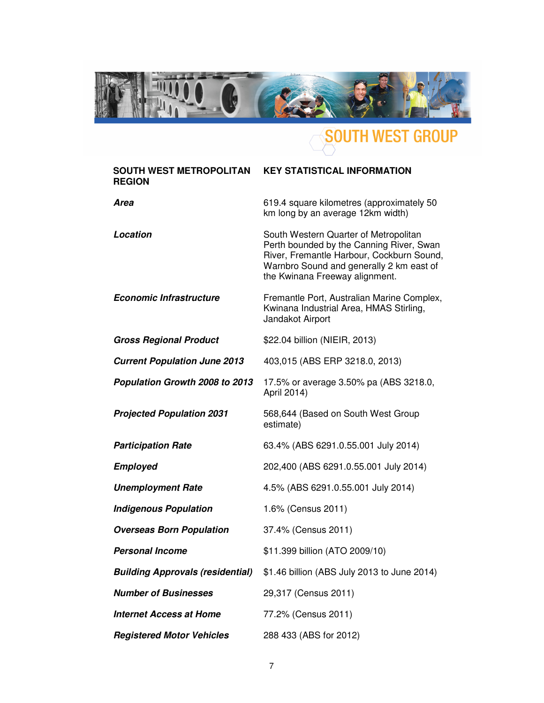

# SOUTH WEST GROUP

| <b>SOUTH WEST METROPOLITAN</b><br><b>REGION</b> | <b>KEY STATISTICAL INFORMATION</b>                                                                                                                                                                           |
|-------------------------------------------------|--------------------------------------------------------------------------------------------------------------------------------------------------------------------------------------------------------------|
| Area                                            | 619.4 square kilometres (approximately 50<br>km long by an average 12km width)                                                                                                                               |
| Location                                        | South Western Quarter of Metropolitan<br>Perth bounded by the Canning River, Swan<br>River, Fremantle Harbour, Cockburn Sound,<br>Warnbro Sound and generally 2 km east of<br>the Kwinana Freeway alignment. |
| <b>Economic Infrastructure</b>                  | Fremantle Port, Australian Marine Complex,<br>Kwinana Industrial Area, HMAS Stirling,<br>Jandakot Airport                                                                                                    |
| <b>Gross Regional Product</b>                   | \$22.04 billion (NIEIR, 2013)                                                                                                                                                                                |
| <b>Current Population June 2013</b>             | 403,015 (ABS ERP 3218.0, 2013)                                                                                                                                                                               |
| Population Growth 2008 to 2013                  | 17.5% or average 3.50% pa (ABS 3218.0,<br>April 2014)                                                                                                                                                        |
| <b>Projected Population 2031</b>                | 568,644 (Based on South West Group<br>estimate)                                                                                                                                                              |
| <b>Participation Rate</b>                       | 63.4% (ABS 6291.0.55.001 July 2014)                                                                                                                                                                          |
| <b>Employed</b>                                 | 202,400 (ABS 6291.0.55.001 July 2014)                                                                                                                                                                        |
| <b>Unemployment Rate</b>                        | 4.5% (ABS 6291.0.55.001 July 2014)                                                                                                                                                                           |
| <b>Indigenous Population</b>                    | 1.6% (Census 2011)                                                                                                                                                                                           |
| <b>Overseas Born Population</b>                 | 37.4% (Census 2011)                                                                                                                                                                                          |
| <b>Personal Income</b>                          | \$11.399 billion (ATO 2009/10)                                                                                                                                                                               |
| <b>Building Approvals (residential)</b>         | \$1.46 billion (ABS July 2013 to June 2014)                                                                                                                                                                  |
| <b>Number of Businesses</b>                     | 29,317 (Census 2011)                                                                                                                                                                                         |
| <b>Internet Access at Home</b>                  | 77.2% (Census 2011)                                                                                                                                                                                          |
| <b>Registered Motor Vehicles</b>                | 288 433 (ABS for 2012)                                                                                                                                                                                       |